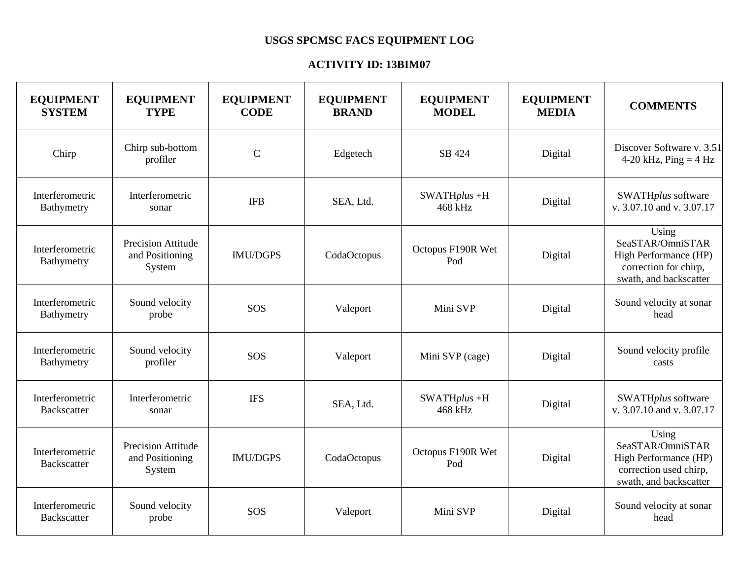## **USGS SPCMSC FACS EQUIPMENT LOG**

## **ACTIVITY ID: 13BIM07**

| <b>EQUIPMENT</b><br><b>SYSTEM</b>     | <b>EQUIPMENT</b><br><b>TYPE</b>                        | <b>EQUIPMENT</b><br><b>CODE</b> | <b>EQUIPMENT</b><br><b>BRAND</b> | <b>EQUIPMENT</b><br><b>MODEL</b> | <b>EQUIPMENT</b><br><b>MEDIA</b> | <b>COMMENTS</b>                                                                                        |
|---------------------------------------|--------------------------------------------------------|---------------------------------|----------------------------------|----------------------------------|----------------------------------|--------------------------------------------------------------------------------------------------------|
| Chirp                                 | Chirp sub-bottom<br>profiler                           | $\mathsf{C}$                    | Edgetech                         | SB 424                           | Digital                          | Discover Software v. 3.51<br>4-20 kHz, $Ping = 4 Hz$                                                   |
| Interferometric<br>Bathymetry         | Interferometric<br>sonar                               | <b>IFB</b>                      | SEA, Ltd.                        | $SWATHplus +H$<br>468 kHz        | Digital                          | SWATHplus software<br>v. 3.07.10 and v. 3.07.17                                                        |
| Interferometric<br>Bathymetry         | <b>Precision Attitude</b><br>and Positioning<br>System | <b>IMU/DGPS</b>                 | CodaOctopus                      | Octopus F190R Wet<br>Pod         | Digital                          | Using<br>SeaSTAR/OmniSTAR<br>High Performance (HP)<br>correction for chirp,<br>swath, and backscatter  |
| Interferometric<br>Bathymetry         | Sound velocity<br>probe                                | SOS                             | Valeport                         | Mini SVP                         | Digital                          | Sound velocity at sonar<br>head                                                                        |
| Interferometric<br>Bathymetry         | Sound velocity<br>profiler                             | SOS                             | Valeport                         | Mini SVP (cage)                  | Digital                          | Sound velocity profile<br>casts                                                                        |
| Interferometric<br><b>Backscatter</b> | Interferometric<br>sonar                               | <b>IFS</b>                      | SEA, Ltd.                        | $SWATHplus +H$<br>468 kHz        | Digital                          | SWATHplus software<br>v. 3.07.10 and v. 3.07.17                                                        |
| Interferometric<br>Backscatter        | <b>Precision Attitude</b><br>and Positioning<br>System | <b>IMU/DGPS</b>                 | CodaOctopus                      | Octopus F190R Wet<br>Pod         | Digital                          | Using<br>SeaSTAR/OmniSTAR<br>High Performance (HP)<br>correction used chirp,<br>swath, and backscatter |
| Interferometric<br><b>Backscatter</b> | Sound velocity<br>probe                                | SOS                             | Valeport                         | Mini SVP                         | Digital                          | Sound velocity at sonar<br>head                                                                        |